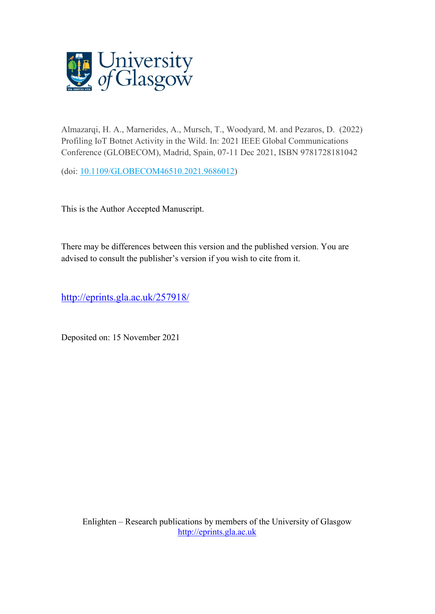

Almazarqi, H. A., Marnerides, A., Mursch, T., Woodyard, M. and Pezaros, D. (2022) Profiling IoT Botnet Activity in the Wild. In: 2021 IEEE Global Communications Conference (GLOBECOM), Madrid, Spain, 07-11 Dec 2021, ISBN 9781728181042

(doi: [10.1109/GLOBECOM46510.2021.9686012\)](http://dx.doi.org/10.1109/GLOBECOM46510.2021.9686012)

This is the Author Accepted Manuscript.

There may be differences between this version and the published version. You are advised to consult the publisher's version if you wish to cite from it.

<http://eprints.gla.ac.uk/257918/>

Deposited on: 15 November 2021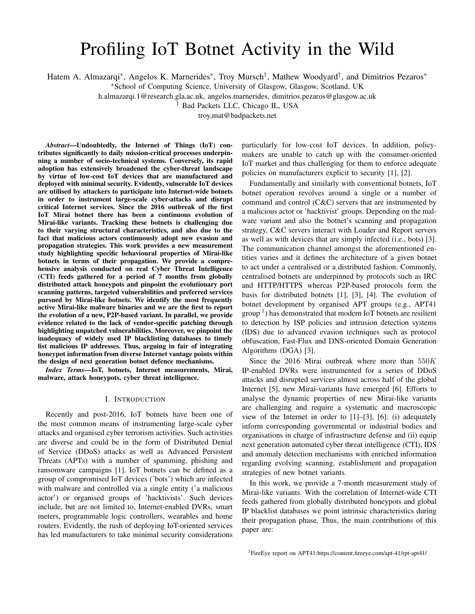# Profiling IoT Botnet Activity in the Wild

Hatem A. Almazarqi\*, Angelos K. Marnerides\*, Troy Mursch<sup>†</sup>, Mathew Woodyard<sup>†</sup>, and Dimitrios Pezaros\*

<sup>∗</sup>School of Computing Science, University of Glasgow, Glasgow, Scotland, UK

h.almazarqi.1@research.gla.ac.uk, angelos.marnerides, dimitrios.pezaros@glasgow.ac.uk

† Bad Packets LLC, Chicago IL, USA

troy,mat@badpackets.net

*Abstract*—Undoubtedly, the Internet of Things (IoT) contributes significantly to daily mission-critical processes underpinning a number of socio-technical systems. Conversely, its rapid adoption has extensively broadened the cyber-threat landscape by virtue of low-cost IoT devices that are manufactured and deployed with minimal security. Evidently, vulnerable IoT devices are utilised by attackers to participate into Internet-wide botnets in order to instrument large-scale cyber-attacks and disrupt critical Internet services. Since the 2016 outbreak of the first IoT Mirai botnet there has been a continuous evolution of Mirai-like variants. Tracking these botnets is challenging due to their varying structural characteristics, and also due to the fact that malicious actors continuously adopt new evasion and propagation strategies. This work provides a new measurement study highlighting specific behavioural properties of Mirai-like botnets in terms of their propagation. We provide a comprehensive analysis conducted on real Cyber Threat Intelligence (CTI) feeds gathered for a period of 7 months from globally distributed attack honeypots and pinpoint the evolutionary port scanning patterns, targeted vulnerabilities and preferred services pursued by Mirai-like botnets. We identify the most frequently active Mirai-like malware binaries and we are the first to report the evolution of a new, P2P-based variant. In parallel, we provide evidence related to the lack of vendor-specific patching through highlighting unpatched vulnerabilities. Moreover, we pinpoint the inadequacy of widely used IP blacklisting databases to timely list malicious IP addresses. Thus, arguing in fair of integrating honeypot information from diverse Internet vantage points within the design of next generation botnet defence mechanisms.

*Index Terms*—IoT, botnets, Internet measurements, Mirai, malware, attack honeypots, cyber threat intelligence.

#### I. INTRODUCTION

Recently and post-2016, IoT botnets have been one of the most common means of instrumenting large-scale cyber attacks and organised cyber terrorism activities. Such activities are diverse and could be in the form of Distributed Denial of Service (DDoS) attacks as well as Advanced Persistent Threats (APTs) with a number of spamming, phishing and ransomware campaigns [1]. IoT botnets can be defined as a group of compromised IoT devices ('bots') which are infected with malware and controlled via a single entity ('a malicious actor') or organised groups of 'hacktivists'. Such devices include, but are not limited to, Internet-enabled DVRs, smart meters, programmable logic controllers, wearables and home routers. Evidently, the rush of deploying IoT-oriented services has led manufacturers to take minimal security considerations

particularly for low-cost IoT devices. In addition, policymakers are unable to catch up with the consumer-oriented IoT market and thus challenging for them to enforce adequate policies on manufacturers explicit to security [1], [2].

Fundamentally and similarly with conventional botnets, IoT botnet operation revolves around a single or a number of command and control (C&C) servers that are instrumented by a malicious actor or 'hacktivist' groups. Depending on the malware variant and also the botnet's scanning and propagation strategy, C&C servers interact with Loader and Report servers as well as with devices that are simply infected (i.e., bots) [3]. The communication channel amongst the aforementioned entities varies and it defines the architecture of a given botnet to act under a centralised or a distributed fashion. Commonly, centralised botnets are underpinned by protocols such as IRC and HTTP/HTTPS whereas P2P-based protocols form the basis for distributed botnets [1], [3], [4]. The evolution of botnet development by organised APT groups (e.g., APT41  $\text{group} \, 1$ ) has demonstrated that modern IoT botnets are resilient to detection by ISP policies and intrusion detection systems (IDS) due to advanced evasion techniques such as protocol obfuscation, Fast-Flux and DNS-oriented Domain Generation Algorithms (DGA) [3].

Since the 2016 Mirai outbreak where more than  $550K$ IP-enabled DVRs were instrumented for a series of DDoS attacks and disrupted services almost across half of the global Internet [5], new Mirai-variants have emerged [6]. Efforts to analyse the dynamic properties of new Mirai-like variants are challenging and require a systematic and macroscopic view of the Internet in order to [1]–[3], [6]: (i) adequately inform corresponding governmental or industrial bodies and organisations in charge of infrastructure defense and (ii) equip next generation automated cyber threat intelligence (CTI), IDS and anomaly detection mechanisms with enriched information regarding evolving scanning, establishment and propagation strategies of new botnet variants.

In this work, we provide a 7-month measurement study of Mirai-like variants. With the correlation of Internet-wide CTI feeds gathered from globally distributed honeypots and global IP blacklist databases we point intrinsic characteristics during their propagation phase. Thus, the main contributions of this paper are:

<sup>1</sup>FireEye report on APT41:https://content.fireeye.com/apt-41/rpt-apt41/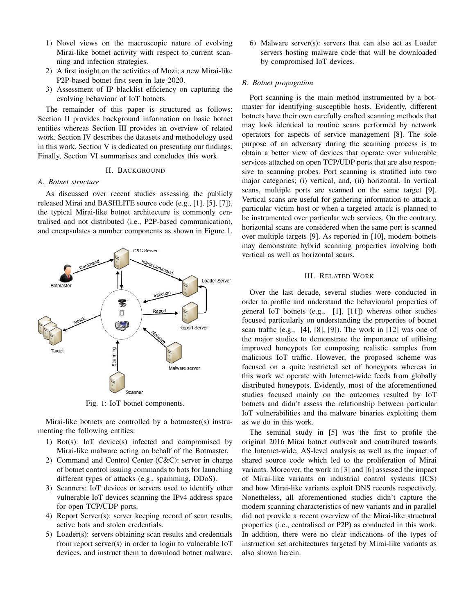- 1) Novel views on the macroscopic nature of evolving Mirai-like botnet activity with respect to current scanning and infection strategies.
- 2) A first insight on the activities of Mozi; a new Mirai-like P2P-based botnet first seen in late 2020.
- 3) Assessment of IP blacklist efficiency on capturing the evolving behaviour of IoT botnets.

The remainder of this paper is structured as follows: Section II provides background information on basic botnet entities whereas Section III provides an overview of related work. Section IV describes the datasets and methodology used in this work. Section V is dedicated on presenting our findings. Finally, Section VI summarises and concludes this work.

## II. BACKGROUND

#### *A. Botnet structure*

As discussed over recent studies assessing the publicly released Mirai and BASHLITE source code (e.g., [1], [5], [7]), the typical Mirai-like botnet architecture is commonly centralised and not distributed (i.e., P2P-based communication), and encapsulates a number components as shown in Figure 1.



Fig. 1: IoT botnet components.

Mirai-like botnets are controlled by a botmaster(s) instrumenting the following entities:

- 1) Bot(s): IoT device(s) infected and compromised by Mirai-like malware acting on behalf of the Botmaster.
- 2) Command and Control Center (C&C): server in charge of botnet control issuing commands to bots for launching different types of attacks (e.g., spamming, DDoS).
- 3) Scanners: IoT devices or servers used to identify other vulnerable IoT devices scanning the IPv4 address space for open TCP/UDP ports.
- 4) Report Server(s): server keeping record of scan results, active bots and stolen credentials.
- 5) Loader(s): servers obtaining scan results and credentials from report server(s) in order to login to vulnerable IoT devices, and instruct them to download botnet malware.

6) Malware server(s): servers that can also act as Loader servers hosting malware code that will be downloaded by compromised IoT devices.

#### *B. Botnet propagation*

Port scanning is the main method instrumented by a botmaster for identifying susceptible hosts. Evidently, different botnets have their own carefully crafted scanning methods that may look identical to routine scans performed by network operators for aspects of service management [8]. The sole purpose of an adversary during the scanning process is to obtain a better view of devices that operate over vulnerable services attached on open TCP/UDP ports that are also responsive to scanning probes. Port scanning is stratified into two major categories; (i) vertical, and, (ii) horizontal. In vertical scans, multiple ports are scanned on the same target [9]. Vertical scans are useful for gathering information to attack a particular victim host or when a targeted attack is planned to be instrumented over particular web services. On the contrary, horizontal scans are considered when the same port is scanned over multiple targets [9]. As reported in [10], modern botnets may demonstrate hybrid scanning properties involving both vertical as well as horizontal scans.

## III. RELATED WORK

Over the last decade, several studies were conducted in order to profile and understand the behavioural properties of general IoT botnets (e.g., [1], [11]) whereas other studies focused particularly on understanding the properties of botnet scan traffic (e.g., [4], [8], [9]). The work in [12] was one of the major studies to demonstrate the importance of utilising improved honeypots for composing realistic samples from malicious IoT traffic. However, the proposed scheme was focused on a quite restricted set of honeypots whereas in this work we operate with Internet-wide feeds from globally distributed honeypots. Evidently, most of the aforementioned studies focused mainly on the outcomes resulted by IoT botnets and didn't assess the relationship between particular IoT vulnerabilities and the malware binaries exploiting them as we do in this work.

The seminal study in [5] was the first to profile the original 2016 Mirai botnet outbreak and contributed towards the Internet-wide, AS-level analysis as well as the impact of shared source code which led to the proliferation of Mirai variants. Moreover, the work in [3] and [6] assessed the impact of Mirai-like variants on industrial control systems (ICS) and how Mirai-like variants exploit DNS records respectively. Nonetheless, all aforementioned studies didn't capture the modern scanning characteristics of new variants and in parallel did not provide a recent overview of the Mirai-like structural properties (i.e., centralised or P2P) as conducted in this work. In addition, there were no clear indications of the types of instruction set architectures targeted by Mirai-like variants as also shown herein.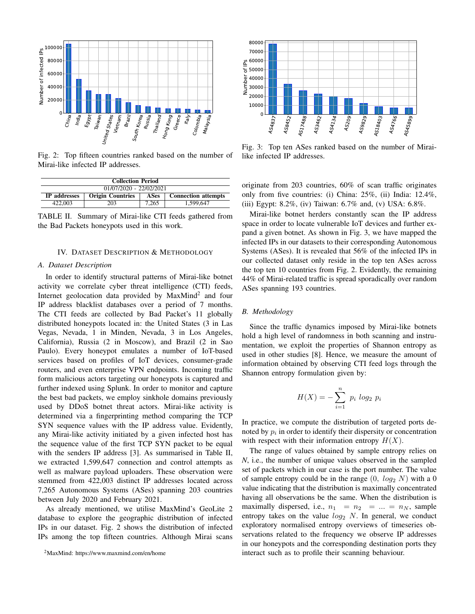

Fig. 2: Top fifteen countries ranked based on the number of Mirai-like infected IP addresses.

| <b>Collection Period</b>  |                         |             |                            |  |  |
|---------------------------|-------------------------|-------------|----------------------------|--|--|
| $01/07/2020 - 22/02/2021$ |                         |             |                            |  |  |
| <b>IP</b> addresses       | <b>Origin Countries</b> | <b>ASes</b> | <b>Connection attempts</b> |  |  |
| 422,003                   | 203                     | 7.265       | 1.599.647                  |  |  |

TABLE II. Summary of Mirai-like CTI feeds gathered from the Bad Packets honeypots used in this work.

## IV. DATASET DESCRIPTION & METHODOLOGY

#### *A. Dataset Description*

In order to identify structural patterns of Mirai-like botnet activity we correlate cyber threat intelligence (CTI) feeds, Internet geolocation data provided by MaxMind<sup>2</sup> and four IP address blacklist databases over a period of 7 months. The CTI feeds are collected by Bad Packet's 11 globally distributed honeypots located in: the United States (3 in Las Vegas, Nevada, 1 in Minden, Nevada, 3 in Los Angeles, California), Russia (2 in Moscow), and Brazil (2 in Sao Paulo). Every honeypot emulates a number of IoT-based services based on profiles of IoT devices, consumer-grade routers, and even enterprise VPN endpoints. Incoming traffic form malicious actors targeting our honeypots is captured and further indexed using Splunk. In order to monitor and capture the best bad packets, we employ sinkhole domains previously used by DDoS botnet threat actors. Mirai-like activity is determined via a fingerprinting method comparing the TCP SYN sequence values with the IP address value. Evidently, any Mirai-like activity initiated by a given infected host has the sequence value of the first TCP SYN packet to be equal with the senders IP address [3]. As summarised in Table II, we extracted 1,599,647 connection and control attempts as well as malware payload uploaders. These observation were stemmed from 422,003 distinct IP addresses located across 7,265 Autonomous Systems (ASes) spanning 203 countries between July 2020 and February 2021. 2MaxMind: https://www.maxmind.com/en/home 

As already mentioned, we utilise MaxMind's GeoLite 2 database to explore the geographic distribution of infected IPs in our dataset. Fig. 2 shows the distribution of infected IPs among the top fifteen countries. Although Mirai scans



Fig. 3: Top ten ASes ranked based on the number of Mirailike infected IP addresses.

originate from 203 countries, 60% of scan traffic originates only from five countries: (i) China: 25%, (ii) India: 12.4%, (iii) Egypt: 8.2%, (iv) Taiwan: 6.7% and, (v) USA: 6.8%.

Mirai-like botnet herders constantly scan the IP address space in order to locate vulnerable IoT devices and further expand a given botnet. As shown in Fig. 3, we have mapped the infected IPs in our datasets to their corresponding Autonomous Systems (ASes). It is revealed that 56% of the infected IPs in our collected dataset only reside in the top ten ASes across the top ten 10 countries from Fig. 2. Evidently, the remaining 44% of Mirai-related traffic is spread sporadically over random ASes spanning 193 countries.

# *B. Methodology*

Since the traffic dynamics imposed by Mirai-like botnets hold a high level of randomness in both scanning and instrumentation, we exploit the properties of Shannon entropy as used in other studies [8]. Hence, we measure the amount of information obtained by observing CTI feed logs through the Shannon entropy formulation given by:

$$
H(X) = -\sum_{i=1}^{n} p_i \log_2 p_i
$$

In practice, we compute the distribution of targeted ports denoted by  $p_i$  in order to identify their dispersity or concentration with respect with their information entropy  $H(X)$ .

The range of values obtained by sample entropy relies on *N*, i.e., the number of unique values observed in the sampled set of packets which in our case is the port number. The value of sample entropy could be in the range  $(0, log_2 N)$  with a 0 value indicating that the distribution is maximally concentrated having all observations be the same. When the distribution is maximally dispersed, i.e.,  $n_1 = n_2 = ... = n_N$ , sample entropy takes on the value  $log_2$  N. In general, we conduct exploratory normalised entropy overviews of timeseries observations related to the frequency we observe IP addresses in our honeypots and the corresponding destination ports they interact such as to profile their scanning behaviour.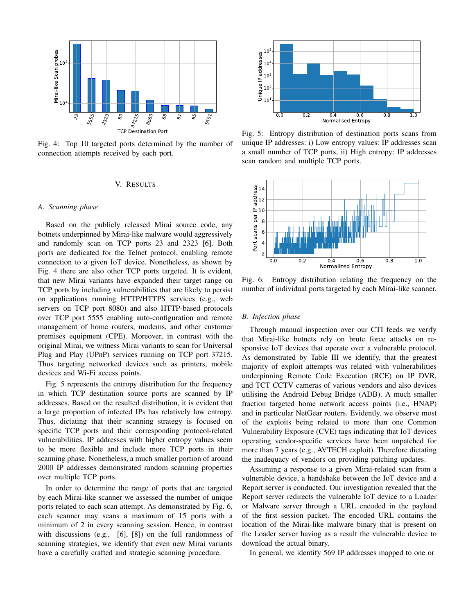

Fig. 4: Top 10 targeted ports determined by the number of connection attempts received by each port.

## V. RESULTS

#### *A. Scanning phase*

Based on the publicly released Mirai source code, any botnets underpinned by Mirai-like malware would aggressively and randomly scan on TCP ports 23 and 2323 [6]. Both ports are dedicated for the Telnet protocol, enabling remote connection to a given IoT device. Nonetheless, as shown by Fig. 4 there are also other TCP ports targeted. It is evident, that new Mirai variants have expanded their target range on TCP ports by including vulnerabilities that are likely to persist on applications running HTTP/HTTPS services (e.g., web servers on TCP port 8080) and also HTTP-based protocols over TCP port 5555 enabling auto-configuration and remote management of home routers, modems, and other customer premises equipment (CPE). Moreover, in contrast with the original Mirai, we witness Mirai variants to scan for Universal Plug and Play (UPnP) services running on TCP port 37215. Thus targeting networked devices such as printers, mobile devices and Wi-Fi access points.

Fig. 5 represents the entropy distribution for the frequency in which TCP destination source ports are scanned by IP addresses. Based on the resulted distribution, it is evident that a large proportion of infected IPs has relatively low entropy. Thus, dictating that their scanning strategy is focused on specific TCP ports and their corresponding protocol-related vulnerabilities. IP addresses with higher entropy values seem to be more flexible and include more TCP ports in their scanning phase. Nonetheless, a much smaller portion of around 2000 IP addresses demonstrated random scanning properties over multiple TCP ports.

In order to determine the range of ports that are targeted by each Mirai-like scanner we assessed the number of unique ports related to each scan attempt. As demonstrated by Fig. 6, each scanner may scans a maximum of 15 ports with a minimum of 2 in every scanning session. Hence, in contrast with discussions (e.g., [6], [8]) on the full randomness of scanning strategies, we identify that even new Mirai variants have a carefully crafted and strategic scanning procedure.



Fig. 5: Entropy distribution of destination ports scans from unique IP addresses: i) Low entropy values: IP addresses scan a small number of TCP ports, ii) High entropy: IP addresses scan random and multiple TCP ports.



Fig. 6: Entropy distribution relating the frequency on the number of individual ports targeted by each Mirai-like scanner.

# *B. Infection phase*

Through manual inspection over our CTI feeds we verify that Mirai-like botnets rely on brute force attacks on responsive IoT devices that operate over a vulnerable protocol. As demonstrated by Table III we identify, that the greatest majority of exploit attempts was related with vulnerabilities underpinning Remote Code Execution (RCE) on IP DVR, and TCT CCTV cameras of various vendors and also devices utilising the Android Debug Bridge (ADB). A much smaller fraction targeted home network access points (i.e., HNAP) and in particular NetGear routers. Evidently, we observe most of the exploits being related to more than one Common Vulnerability Exposure (CVE) tags indicating that IoT devices operating vendor-specific services have been unpatched for more than 7 years (e.g., AVTECH exploit). Therefore dictating the inadequacy of vendors on providing patching updates.

Assuming a response to a given Mirai-related scan from a vulnerable device, a handshake between the IoT device and a Report server is conducted. Our investigation revealed that the Report server redirects the vulnerable IoT device to a Loader or Malware server through a URL encoded in the payload of the first session packet. The encoded URL contains the location of the Mirai-like malware binary that is present on the Loader server having as a result the vulnerable device to download the actual binary.

In general, we identify 569 IP addresses mapped to one or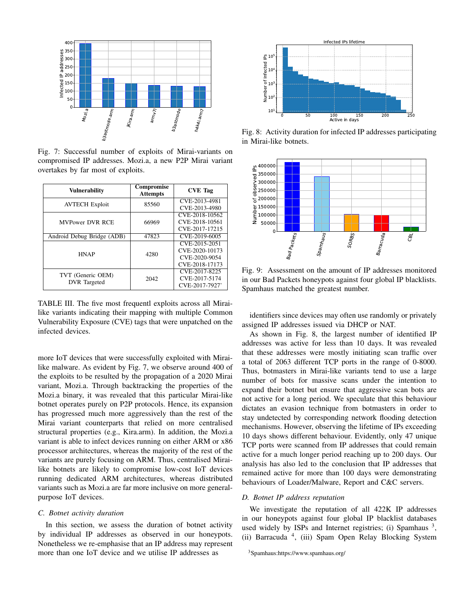

Fig. 7: Successful number of exploits of Mirai-variants on compromised IP addresses. Mozi.a, a new P2P Mirai variant overtakes by far most of exploits.

| <b>Vulnerability</b>                     | Compromise<br><b>Attempts</b> | <b>CVE</b> Tag                                   |
|------------------------------------------|-------------------------------|--------------------------------------------------|
| <b>AVTECH Exploit</b>                    | 85560                         | CVE-2013-4981                                    |
|                                          |                               | CVE-2013-4980<br>CVE-2018-10562                  |
| <b>MVPower DVR RCE</b>                   | 66969                         | CVE-2018-10561                                   |
|                                          |                               | CVE-2017-17215                                   |
| Android Debug Bridge (ADB)               | 47823                         | CVE-2019-6005                                    |
| <b>HNAP</b>                              | 4280                          | CVE-2015-2051<br>CVE-2020-10173                  |
|                                          |                               | CVE-2020-9054<br>CVE-2018-17173                  |
| TVT (Generic OEM)<br><b>DVR</b> Targeted | 2042                          | CVE-2017-8225<br>CVE-2017-5174<br>CVE-2017-7927' |

TABLE III. The five most frequentl exploits across all Mirailike variants indicating their mapping with multiple Common Vulnerability Exposure (CVE) tags that were unpatched on the infected devices.

more IoT devices that were successfully exploited with Mirailike malware. As evident by Fig. 7, we observe around 400 of the exploits to be resulted by the propagation of a 2020 Mirai variant, Mozi.a. Through backtracking the properties of the Mozi.a binary, it was revealed that this particular Mirai-like botnet operates purely on P2P protocols. Hence, its expansion has progressed much more aggressively than the rest of the Mirai variant counterparts that relied on more centralised structural properties (e.g., Kira.arm). In addition, the Mozi.a variant is able to infect devices running on either ARM or x86 processor architectures, whereas the majority of the rest of the variants are purely focusing on ARM. Thus, centralised Mirailike botnets are likely to compromise low-cost IoT devices running dedicated ARM architectures, whereas distributed variants such as Mozi.a are far more inclusive on more generalpurpose IoT devices.

## *C. Botnet activity duration*

In this section, we assess the duration of botnet activity by individual IP addresses as observed in our honeypots. Nonetheless we re-emphasise that an IP address may represent more than one IoT device and we utilise IP addresses as



Fig. 8: Activity duration for infected IP addresses participating in Mirai-like botnets.



Fig. 9: Assessment on the amount of IP addresses monitored in our Bad Packets honeypots against four global IP blacklists. Spamhaus matched the greatest number.

identifiers since devices may often use randomly or privately assigned IP addresses issued via DHCP or NAT.

As shown in Fig. 8, the largest number of identified IP addresses was active for less than 10 days. It was revealed that these addresses were mostly initiating scan traffic over a total of 2063 different TCP ports in the range of 0-8000. Thus, botmasters in Mirai-like variants tend to use a large number of bots for massive scans under the intention to expand their botnet but ensure that aggressive scan bots are not active for a long period. We speculate that this behaviour dictates an evasion technique from botmasters in order to stay undetected by corresponding network flooding detection mechanisms. However, observing the lifetime of IPs exceeding 10 days shows different behaviour. Evidently, only 47 unique TCP ports were scanned from IP addresses that could remain active for a much longer period reaching up to 200 days. Our analysis has also led to the conclusion that IP addresses that remained active for more than 100 days were demonstrating behaviours of Loader/Malware, Report and C&C servers.

# *D. Botnet IP address reputation*

We investigate the reputation of all 422K IP addresses in our honeypots against four global IP blacklist databases used widely by ISPs and Internet registries; (i) Spamhaus  $3$ , (ii) Barracuda <sup>4</sup> , (iii) Spam Open Relay Blocking System

<sup>3</sup>Spamhaus:https://www.spamhaus.org/